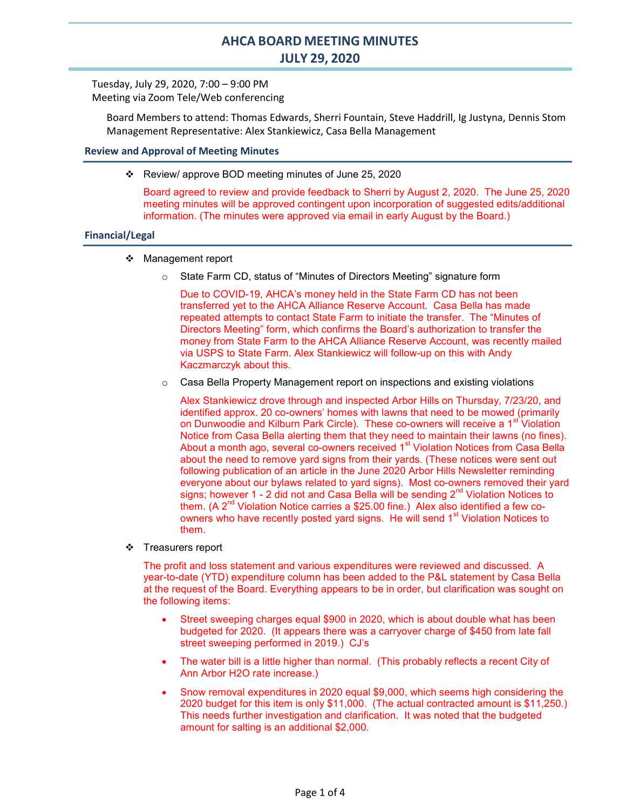# AHCA BOARD MEETING MINUTES JULY 29, 2020

Tuesday, July 29, 2020, 7:00 – 9:00 PM Meeting via Zoom Tele/Web conferencing

Board Members to attend: Thomas Edwards, Sherri Fountain, Steve Haddrill, Ig Justyna, Dennis Stom Management Representative: Alex Stankiewicz, Casa Bella Management

# Review and Approval of Meeting Minutes

\* Review/ approve BOD meeting minutes of June 25, 2020

Board agreed to review and provide feedback to Sherri by August 2, 2020. The June 25, 2020 meeting minutes will be approved contingent upon incorporation of suggested edits/additional information. (The minutes were approved via email in early August by the Board.)

#### Financial/Legal

- Management report
	- o State Farm CD, status of "Minutes of Directors Meeting" signature form

Due to COVID-19, AHCA's money held in the State Farm CD has not been transferred yet to the AHCA Alliance Reserve Account. Casa Bella has made repeated attempts to contact State Farm to initiate the transfer. The "Minutes of Directors Meeting" form, which confirms the Board's authorization to transfer the money from State Farm to the AHCA Alliance Reserve Account, was recently mailed via USPS to State Farm. Alex Stankiewicz will follow-up on this with Andy Kaczmarczyk about this.

o Casa Bella Property Management report on inspections and existing violations

Alex Stankiewicz drove through and inspected Arbor Hills on Thursday, 7/23/20, and identified approx. 20 co-owners' homes with lawns that need to be mowed (primarily on Dunwoodie and Kilburn Park Circle). These co-owners will receive a 1<sup>st</sup> Violation Notice from Casa Bella alerting them that they need to maintain their lawns (no fines). About a month ago, several co-owners received 1<sup>st</sup> Violation Notices from Casa Bella about the need to remove yard signs from their yards. (These notices were sent out following publication of an article in the June 2020 Arbor Hills Newsletter reminding everyone about our bylaws related to yard signs). Most co-owners removed their yard signs; however 1 - 2 did not and Casa Bella will be sending  $2<sup>nd</sup>$  Violation Notices to them. (A 2<sup>nd</sup> Violation Notice carries a \$25.00 fine.) Alex also identified a few coowners who have recently posted yard signs. He will send 1<sup>st</sup> Violation Notices to them.

❖ Treasurers report

The profit and loss statement and various expenditures were reviewed and discussed. A year-to-date (YTD) expenditure column has been added to the P&L statement by Casa Bella at the request of the Board. Everything appears to be in order, but clarification was sought on the following items:

- Street sweeping charges equal \$900 in 2020, which is about double what has been budgeted for 2020. (It appears there was a carryover charge of \$450 from late fall street sweeping performed in 2019.) CJ's
- The water bill is a little higher than normal. (This probably reflects a recent City of Ann Arbor H2O rate increase.)
- Snow removal expenditures in 2020 equal \$9,000, which seems high considering the 2020 budget for this item is only \$11,000. (The actual contracted amount is \$11,250.) This needs further investigation and clarification. It was noted that the budgeted amount for salting is an additional \$2,000.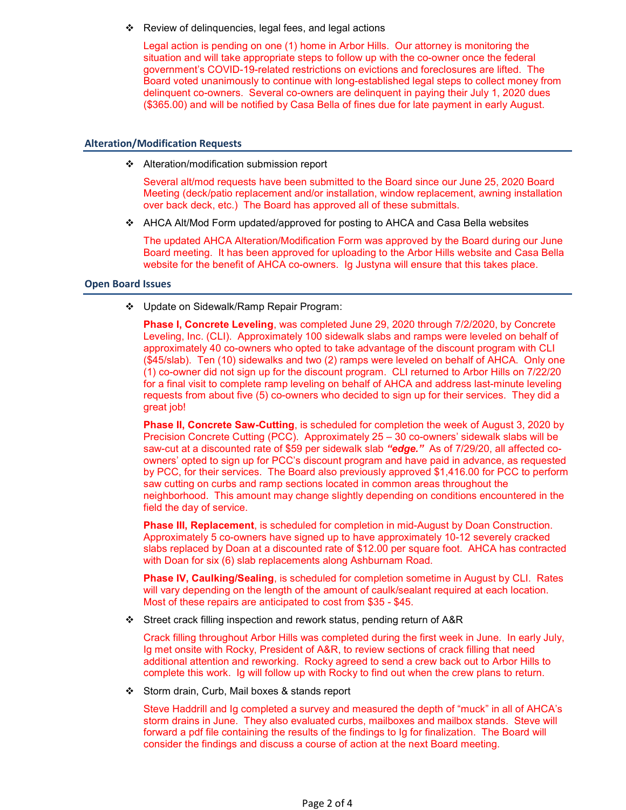Review of delinquencies, legal fees, and legal actions

Legal action is pending on one (1) home in Arbor Hills. Our attorney is monitoring the situation and will take appropriate steps to follow up with the co-owner once the federal government's COVID-19-related restrictions on evictions and foreclosures are lifted. The Board voted unanimously to continue with long-established legal steps to collect money from delinquent co-owners. Several co-owners are delinquent in paying their July 1, 2020 dues (\$365.00) and will be notified by Casa Bella of fines due for late payment in early August.

## Alteration/Modification Requests

❖ Alteration/modification submission report

Several alt/mod requests have been submitted to the Board since our June 25, 2020 Board Meeting (deck/patio replacement and/or installation, window replacement, awning installation over back deck, etc.) The Board has approved all of these submittals.

AHCA Alt/Mod Form updated/approved for posting to AHCA and Casa Bella websites

The updated AHCA Alteration/Modification Form was approved by the Board during our June Board meeting. It has been approved for uploading to the Arbor Hills website and Casa Bella website for the benefit of AHCA co-owners. Ig Justyna will ensure that this takes place.

#### Open Board Issues

Update on Sidewalk/Ramp Repair Program:

**Phase I, Concrete Leveling**, was completed June 29, 2020 through 7/2/2020, by Concrete Leveling, Inc. (CLI). Approximately 100 sidewalk slabs and ramps were leveled on behalf of approximately 40 co-owners who opted to take advantage of the discount program with CLI (\$45/slab). Ten (10) sidewalks and two (2) ramps were leveled on behalf of AHCA. Only one (1) co-owner did not sign up for the discount program. CLI returned to Arbor Hills on 7/22/20 for a final visit to complete ramp leveling on behalf of AHCA and address last-minute leveling requests from about five (5) co-owners who decided to sign up for their services. They did a great job!

**Phase II, Concrete Saw-Cutting, is scheduled for completion the week of August 3, 2020 by** Precision Concrete Cutting (PCC). Approximately 25 – 30 co-owners' sidewalk slabs will be saw-cut at a discounted rate of \$59 per sidewalk slab "edge." As of 7/29/20, all affected coowners' opted to sign up for PCC's discount program and have paid in advance, as requested by PCC, for their services. The Board also previously approved \$1,416.00 for PCC to perform saw cutting on curbs and ramp sections located in common areas throughout the neighborhood. This amount may change slightly depending on conditions encountered in the field the day of service.

**Phase III, Replacement**, is scheduled for completion in mid-August by Doan Construction. Approximately 5 co-owners have signed up to have approximately 10-12 severely cracked slabs replaced by Doan at a discounted rate of \$12.00 per square foot. AHCA has contracted with Doan for six (6) slab replacements along Ashburnam Road.

Phase IV, Caulking/Sealing, is scheduled for completion sometime in August by CLI. Rates will vary depending on the length of the amount of caulk/sealant required at each location. Most of these repairs are anticipated to cost from \$35 - \$45.

Street crack filling inspection and rework status, pending return of A&R

Crack filling throughout Arbor Hills was completed during the first week in June. In early July, Ig met onsite with Rocky, President of A&R, to review sections of crack filling that need additional attention and reworking. Rocky agreed to send a crew back out to Arbor Hills to complete this work. Ig will follow up with Rocky to find out when the crew plans to return.

Storm drain, Curb, Mail boxes & stands report

Steve Haddrill and Ig completed a survey and measured the depth of "muck" in all of AHCA's storm drains in June. They also evaluated curbs, mailboxes and mailbox stands. Steve will forward a pdf file containing the results of the findings to Ig for finalization. The Board will consider the findings and discuss a course of action at the next Board meeting.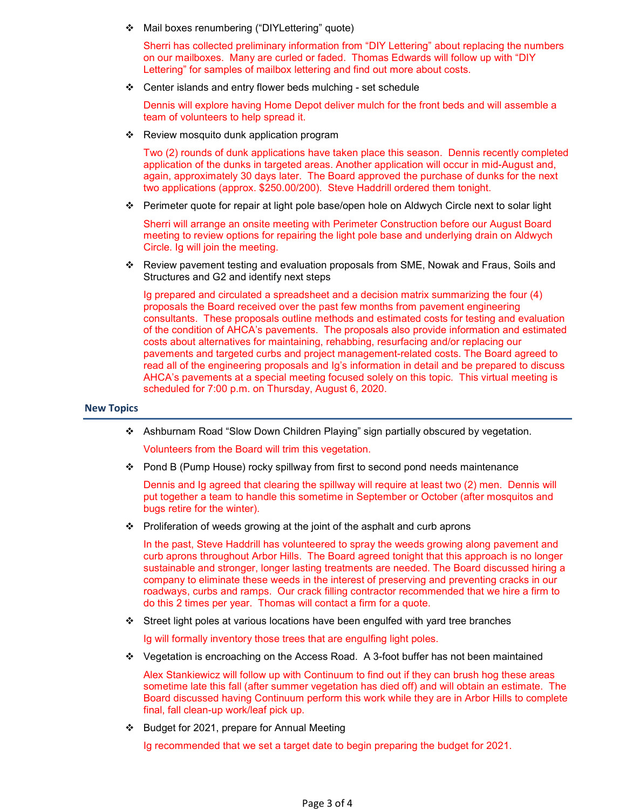Mail boxes renumbering ("DIYLettering" quote)

Sherri has collected preliminary information from "DIY Lettering" about replacing the numbers on our mailboxes. Many are curled or faded. Thomas Edwards will follow up with "DIY Lettering" for samples of mailbox lettering and find out more about costs.

Center islands and entry flower beds mulching - set schedule

Dennis will explore having Home Depot deliver mulch for the front beds and will assemble a team of volunteers to help spread it.

Review mosquito dunk application program

Two (2) rounds of dunk applications have taken place this season. Dennis recently completed application of the dunks in targeted areas. Another application will occur in mid-August and, again, approximately 30 days later. The Board approved the purchase of dunks for the next two applications (approx. \$250.00/200). Steve Haddrill ordered them tonight.

Perimeter quote for repair at light pole base/open hole on Aldwych Circle next to solar light

Sherri will arrange an onsite meeting with Perimeter Construction before our August Board meeting to review options for repairing the light pole base and underlying drain on Aldwych Circle. Ig will join the meeting.

 Review pavement testing and evaluation proposals from SME, Nowak and Fraus, Soils and Structures and G2 and identify next steps

Ig prepared and circulated a spreadsheet and a decision matrix summarizing the four (4) proposals the Board received over the past few months from pavement engineering consultants. These proposals outline methods and estimated costs for testing and evaluation of the condition of AHCA's pavements. The proposals also provide information and estimated costs about alternatives for maintaining, rehabbing, resurfacing and/or replacing our pavements and targeted curbs and project management-related costs. The Board agreed to read all of the engineering proposals and Ig's information in detail and be prepared to discuss AHCA's pavements at a special meeting focused solely on this topic. This virtual meeting is scheduled for 7:00 p.m. on Thursday, August 6, 2020.

## New Topics

Ashburnam Road "Slow Down Children Playing" sign partially obscured by vegetation.

Volunteers from the Board will trim this vegetation.

Pond B (Pump House) rocky spillway from first to second pond needs maintenance

Dennis and Ig agreed that clearing the spillway will require at least two (2) men. Dennis will put together a team to handle this sometime in September or October (after mosquitos and bugs retire for the winter).

 $\div$  Proliferation of weeds growing at the joint of the asphalt and curb aprons

In the past, Steve Haddrill has volunteered to spray the weeds growing along pavement and curb aprons throughout Arbor Hills. The Board agreed tonight that this approach is no longer sustainable and stronger, longer lasting treatments are needed. The Board discussed hiring a company to eliminate these weeds in the interest of preserving and preventing cracks in our roadways, curbs and ramps. Our crack filling contractor recommended that we hire a firm to do this 2 times per year. Thomas will contact a firm for a quote.

Street light poles at various locations have been engulfed with yard tree branches

Ig will formally inventory those trees that are engulfing light poles.

Vegetation is encroaching on the Access Road. A 3-foot buffer has not been maintained

Alex Stankiewicz will follow up with Continuum to find out if they can brush hog these areas sometime late this fall (after summer vegetation has died off) and will obtain an estimate. The Board discussed having Continuum perform this work while they are in Arbor Hills to complete final, fall clean-up work/leaf pick up.

 $\div$  Budget for 2021, prepare for Annual Meeting

Ig recommended that we set a target date to begin preparing the budget for 2021.